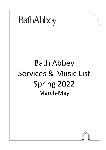

# Bath Abbey Services & Music List Spring 2022 March-May

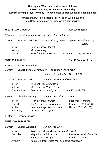### **Our regular Weekday services are as follows: 8.30am Morning Prayer Monday – Friday. 5.30pm Evening Prayer Monday – Friday unless Choral Evensong is taking place.**

Unless otherwise indicated all services on Weekdays and 8am Holy Communion on Sundays are said services.

#### **WEDNESDAY 2 MARCH Ash Wednesday**

12 noon Holy Communion *with the Imposition of Ashes*

7.00pm Sung Eucharist *with the Imposition of Ashes Sung by the Girls and Lay Clerks*

| Introit | Hear my prayer <i>Purcell</i> |                          |
|---------|-------------------------------|--------------------------|
| Ashing  | Miserere Allegri              |                          |
| Setting | Mass for Five Voices Byrd     | Hymns 121, 127, 128, 135 |

#### **SUNDAY 6 MARCH**

### **The 1st Sunday of Lent**

- 8.00am Holy Communion
- 9.30am Church Family Communion *led by the Music Group*

Hymns 652, 649, 427, 146, 373, 121

- 11.30am Sung Eucharist S*ung by the Boys and Lay Clerks*
	- Introit The Lent Prose *Plainsong* Setting Mass for Four Voices *Byrd* Communion Ave verum corpus *Byrd* Hymns 121, 649, 748
- 3.30pm Choral Evensong *Sung by the Girls and Lay Clerks*

Introit Hear my prayer *Purcell* Responses *Tomkins* Canticles The Second Service *Gibbons* Psalm 119 v73-88 Anthem Hear my prayer *Mendelssohn* Hymn 123 ii (AM128) Voluntary Aus der Tiefe *Leighton*

6.30pm Informal service

### **THURSDAY 10 MARCH**

| 5.30pm  |           | <b>Choral Evensong</b> | Sung by the Girls                            |       |                                 |  |
|---------|-----------|------------------------|----------------------------------------------|-------|---------------------------------|--|
| Introit |           |                        | Kyrie from Missa Mariae Cecilia McDowall     |       |                                 |  |
|         | Canticles |                        | Magnificat in G Sumsion;                     |       | <b>Responses Malcolm Archer</b> |  |
|         |           |                        | Nunc dimittis Burgon                         | Psalm | 142                             |  |
| Anthem  |           |                        | Agnus Dei from Missa Mariae Cecilia McDowall |       |                                 |  |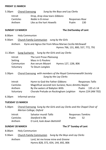#### **FRIDAY 11 MARCH**

5.30pm Choral Evensong *Sung by the Boys and Lay Clerks*

| Introit   | Drop, drop slow tears Gibbons |                |     |
|-----------|-------------------------------|----------------|-----|
| Canticles | <i>Noble</i> in B minor       | Responses Rose |     |
| Anthem    | Like as the hart Howells      | Psalm          | 130 |

#### **SUNDAY 13 MARCH The 2nd Sunday of Lent**

- 8.00am Holy Communion
- 9.30am Church Family Communion *sung by the Girls*

Anthem Kyrie and Agnus Dei from Missa Mariae *Cecilia McDowall* Hymns 766, 131, 800, 557, 772, 791

11.30am Sung Eucharist S*ung by the Girls and Lay Clerks*

| Introit   | The Lent Prose Plainsong |                      |
|-----------|--------------------------|----------------------|
| Setting   | Mass in G Poulenc        |                      |
| Communion | Ave verum Mozart         | Hymns 127, 128i, 806 |
| Voluntary | Te Deum Langlais         |                      |

3.30pm Choral Evensong *with members of the Royal Commonwealth Society Sung by the Lay Clerks*

| Introit          | Hymn to God the Father Gibbons                        | <b>Responses Tallis</b>     |
|------------------|-------------------------------------------------------|-----------------------------|
| <b>Canticles</b> | Magnificat secondi toni Suriano; Nunc dimittis Naylor |                             |
| Anthem           | By the waters of Babylon Wills                        | Psalm $135 \text{ v}1 - 14$ |
| Voluntary        | Chorale Prelude on Rockingham Leighton                | Hymn 224 (AM 702)           |

#### 6.30pm Informal service

#### **TUESDAY 15 MARCH**

5.30pm Choral Evensong *Sung by the Girls and Lay Clerks and the Chapel Choir of Merton College, Oxford*

| Introit   | Salvator mundi Tallis        | <b>Responses Tomkins</b> |     |
|-----------|------------------------------|--------------------------|-----|
| Canticles | <i>Stanford</i> in Bb        | Psalm                    | -52 |
| Anthem    | O Lord, look down Battishill |                          |     |

#### **SUNDAY 20 MARCH The 3rd Sunday of Lent**

- 8.00am Holy Communion
- 9.30am Church Family Communion *Sung by the Boys and Lay Clerks*

Anthem Lord, let me know mine end *Greene* Hymns 828, 372, 654, 144, 692, 806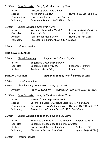#### 11.30am Sung Eucharist S*ung by the Boys and Lay Clerks*

| Introit   | Drop, drop slow tears Gibbons         |                          |
|-----------|---------------------------------------|--------------------------|
| Setting   | Missa Brevis Walton                   | Hymns 806, 116, 654, 652 |
| Communion | Lord, let me know mine end Greene     |                          |
| Voluntary | Canzona in D minor BWV 588 J. S. Bach |                          |

3.30pm Choral Evensong *Sung by the Girls*

| Introit   | Wash me thoroughly Handel                 |                     | <b>Responses Malcolm Archer</b> |
|-----------|-------------------------------------------|---------------------|---------------------------------|
| Canticles | Sumsion in D                              | Psalm               | 12.13                           |
| Anthem    | Paratum cor meum Blow                     | Hymn 131 (AM 721ii) |                                 |
| Voluntary | Passacaglia in C minor BWV 582 J. S. Bach |                     |                                 |

6.30pm Informal service

### **THURSDAY 24 MARCH**

| 5.30pm  | <b>Choral Evensong</b> |                        | Sung by the Girls and Lay Clerks |                          |    |
|---------|------------------------|------------------------|----------------------------------|--------------------------|----|
| Introit |                        |                        | Bogoritsye Dyevo Rachmaninov     |                          |    |
|         | Canticles              |                        | Collegium Regale Howells         | <b>Responses Tomkins</b> |    |
|         | Anthem                 | Ave Maris stella Grieg |                                  | Psalm                    | 85 |
|         |                        |                        |                                  |                          |    |

### **SUNDAY 27 MARCH Mothering Sunday The 4th Sunday of Lent**

- 8.00am Holy Communion
- 9.30am Church Family Communion *sung by the Girls*

Anthem Psalm 23 *Schubert* Hymns 394, 639, 537i, 725, 485 (t806)

- 11.30am Sung Eucharist *sung by the Girls and Lay Clerks*
	- Introit The Lord's my shepherd *Howells* Setting Coronation Mass (K) *Mozart*; Mass in D (S, Ag) *Dvorak* Communion Bogoritsye Dyevo *Rachmaninov* Hymns 794i, 394, 692, 537i Voluntary Praeludium in G minor BuxWV 149 *D. Buxtehude*
- 3.30pm Choral Evensong *sung by the Boys and Lay Clerks*

| Introit   | Hymne to the Mother of God Tavener      | Responses Rose     |    |
|-----------|-----------------------------------------|--------------------|----|
| Canticles | Collegium Magdalenae Oxoniense Leighton |                    |    |
| Anthem    | God so loved the world Stainer          | Psalm              | 30 |
| Voluntary | Ciacona in F minor Pachelbel            | Hymn 126 (AM 794i) |    |

6.30pm Informal service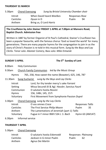#### **THURSDAY 31 MARCH**

| 5.30pm  |           | <b>Choral Evensong</b> | Sung by Bristol University Chamber choir |                |    |
|---------|-----------|------------------------|------------------------------------------|----------------|----|
| Introit |           |                        | When David heard Weelkes                 | Responses Rose |    |
|         | Canticles | Dyson in D             |                                          | Psalm          | 94 |
|         | Anthem    |                        | Bring us, O Lord Harris                  |                |    |
|         |           |                        |                                          |                |    |

### **The Crucifixion by** *John Stainer* **FRIDAY 1 APRIL at 7.00pm at Manvers Road, Baptist Church. Admission free**

Written in 1887 by former Organist of St Paul's Cathedral, Stainer's Crucifixion has been a popular favourite, with the famous chorus 'God so loved the world' for many generations. There are many popular hymns for the congregation to join in as the story of Christ's Passion is re-told in this musical form. *Sung by the Boys and Lay Clerks.* Tenor solo: *Alastair Comery*, Bass solo: *Mike Entwisle*

### **SUNDAY 3 APRIL The 5th Sunday of Lent**

| 8.00am                                                                                                                                                                                                                                                           |                  | <b>Holy Communion</b>                                 |                                              |                                        |                                                |                  |    |
|------------------------------------------------------------------------------------------------------------------------------------------------------------------------------------------------------------------------------------------------------------------|------------------|-------------------------------------------------------|----------------------------------------------|----------------------------------------|------------------------------------------------|------------------|----|
| $9.30$ am                                                                                                                                                                                                                                                        |                  |                                                       |                                              |                                        | Church Family Communion led by the Music Group |                  |    |
|                                                                                                                                                                                                                                                                  | <b>Hymns</b>     | 765, 258, How sweet the name (Bowater), 625, 146, 787 |                                              |                                        |                                                |                  |    |
| 11.30am                                                                                                                                                                                                                                                          |                  |                                                       |                                              |                                        | Sung Eucharist sung by the Boys and Lay Clerks |                  |    |
| Introit<br>Lord, for thy tender mercy's sake Farrant<br>Missa Secundi (K & Ag) Hassler, Sanctus Fauré<br>Setting<br>Communion<br>O salutaris hostia Rossini<br><b>Hymns</b><br>156, 148ii, 145, 157i<br>Voluntary<br>First Movement from Symphonie Passion Dupré |                  |                                                       |                                              |                                        |                                                |                  |    |
| 3.30pm                                                                                                                                                                                                                                                           |                  |                                                       |                                              | Choral Evensong sung by the Lay Clerks |                                                |                  |    |
|                                                                                                                                                                                                                                                                  | Introit          |                                                       |                                              | O vos omnes Croce                      |                                                | Responses Tallis |    |
|                                                                                                                                                                                                                                                                  | <b>Canticles</b> |                                                       |                                              |                                        | The First Service Philip Moore                 | Psalm            | 35 |
|                                                                                                                                                                                                                                                                  | Anthem           |                                                       | The Lamentations of Jeremiah (part 1) Tallis |                                        |                                                |                  |    |
|                                                                                                                                                                                                                                                                  | Voluntary        |                                                       |                                              |                                        | Fugue in F minor BWV 534 J. S. Bach            | Hymn 63 (AM147)  |    |
| 6.30 <sub>pm</sub>                                                                                                                                                                                                                                               |                  | Informal service                                      |                                              |                                        |                                                |                  |    |

### **THURSDAY 7 APRIL**

5.30pm Choral Evensong

| Introit          | O salutaris hostia Eskenvald | Responses Plainsong |    |
|------------------|------------------------------|---------------------|----|
| <b>Canticles</b> | Jackson in G minor Psalm     | Psalm               | 62 |
| Anthem           | Agnus Dei Martin             |                     |    |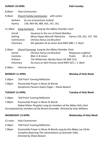#### **SUNDAY 10 APRIL Palm Sunday**

8.00am Holy Communion

9.30am Church Family Communion *with cantor*  Anthem Ex ore innocentium *Ireland*

Hymns 159, NEH 96, 489, 433, 147, 161

11.30am Sung Eucharist *Sung by the Abbey Chamber choir*

| Introit   | Hosanna to the son of David Weelkes              |                          |  |  |
|-----------|--------------------------------------------------|--------------------------|--|--|
| Setting   | Missa Papae Marcelli Palestrina                  | Hymns 159, 161, 147, 763 |  |  |
| Communion | Christus factus est Bruckner                     |                          |  |  |
| Voluntary | Wir glauben all an einen Gott BWV 680 J. S. Bach |                          |  |  |

3.30pm Choral Evensong *Sung by the Abbey Chamber Choir*

| Introit          | Christus factus est Bruckner                    | Responses Leighton |            |
|------------------|-------------------------------------------------|--------------------|------------|
| <b>Canticles</b> | Blair in B minor                                | Psalm              | $69$ v1-20 |
| Anthem           | The Wilderness Wesley Hymn 59 (AM 151)          |                    |            |
| Voluntary        | Da Jesus an dem Kreuze stund BWV 621 J. S. Bach |                    |            |

6.30pm Informal service

**MONDAY 11 APRIL Monday of Holy Week** 

- 5.30pm 'Still Point' Evening Reflection
- 7.00pm Passiontide Prayer in Music & Words Symphonie Passion *Dupré* Organ *– Shean Bowers*

5.30pm 'Still Point' Evening Reflection

7.00pm Passiontide Prayer in Music & Words Stabat Mater *Pergolesi sung by members of the Abbey Girls choir Accompanied by members of the Bristol Ensemble. Directed by Huw Williams*

- 12 noon Holy Communion
- 5.30pm 'Still Point' Evening Reflection
- 7.00pm Passiontide Prayer in Music & Words *sung by the Abbey Lay Clerks Compline featuring The Lamentations of Jeremiah Tallis. Directed by Shean Bowers*

### **TUESDAY 12 APRIL Tuesday of Holy Week**

### **WEDNESDAY 13 APRIL Wednesday of Holy Week**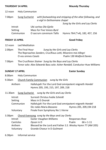**THURSDAY 14 APRIL Maundy Thursday** 

12 noon Holy Communion

| 7.00pm  | <b>Sung Eucharist</b> |                           | with footwashing and stripping of the altar following, and |
|---------|-----------------------|---------------------------|------------------------------------------------------------|
|         |                       |                           | a vigil in Gethsemane chapel                               |
|         |                       |                           | Sung by the Girls and Lay Clerks                           |
| Introit |                       | Ubi caritas Ola Gjeilo    |                                                            |
| Setting |                       | Mass for Five Voices Byrd |                                                            |
|         | Communion             | O sacrum convivium Tallis | Hymns 764 (*v4), 182, 457, 156                             |

#### **FRIDAY 15 APRIL Good Friday**

- 12 noon Led Meditation
- 2.00pm The Final Hour *Sung by the Girls and Lay Clerks* The Reproaches *Sanders*, Crucifixus *Lotti,* Miserere mei *Allegri* O vos omnes *Casals* Psalm 130 *Walford Davies*
- 7.00pm The Crucifixion *Stainer Sung by the Boys and Lay Clerks* Tenor solo: *Alex Edwards* Bass solo: *Asher Randall,* Conducto*r Huw Williams*

#### **SUNDAY 17 APRIL Easter Sunday**

- 8.00am Holy Communion
- 9.30am Church Family Communion *sung by the Girls*
	- Anthem Hallelujah! For the Lord God omnipotent reigneth *Handel* Hymns 205, 193, 215, 197, 209, 218
- 11.30am Sung Eucharist *sung by the Girls and Lay Clerks*

| Introit   | Surrexit Christus hodie Scheidt                         |                         |  |  |
|-----------|---------------------------------------------------------|-------------------------|--|--|
| Setting   | Mass in D Dvorak                                        |                         |  |  |
| Communion | Hallelujah! For the Lord God omnipotent reigneth Handel |                         |  |  |
|           | Dic nobis Maria Bassano                                 | Hymns 205, 209, 194 218 |  |  |
| Voluntary | Finale from Symphony No 1 Vierne                        |                         |  |  |

#### 3.30pm Choral Evensong *sung by the Boys and Lay Clerks*

| Introit   | Easter Vaughan Williams                                     | Responses Rose |                  |
|-----------|-------------------------------------------------------------|----------------|------------------|
| Canticles | Dyson in D                                                  | Psalm          | $66 \vee 1 - 11$ |
| Anthem    | Blessed be the Lord and Father S.S. Wesley Hymn 77 (AM 205) |                |                  |
| Voluntary | Grande Choeur in D Guilmant                                 |                |                  |

#### 6.30pm Informal service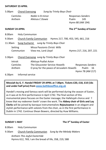#### **SATURDAY 23 APRIL**

5.00pm Choral Evensong *Sung by Trinity Boys Choir*

| Canticles | <i>Noble</i> in B minor |       | Responses Sanders |
|-----------|-------------------------|-------|-------------------|
| Anthem    | Alleluia C Dowie        | Psalm | 145               |
|           |                         |       | Hymn 80 (AM 194)  |

### **SUNDAY 24 APRIL The 2nd Sunday of Easter**

- 8.00am Holy Communion
- 9.30am Church Family Communion Hymns 217, 700, 453, 545, 661, 216
- 11.30am Sung Eucharist *sung by Trinity Boys Choir* Setting Missa Passionis Christi *Wills* Communion View me, Lord *Lloyd* Hymns 217, 216, 207, 221

3.30pm Choral Evensong *sung by Trinity Boys Choir*

Introit Alleluya Psallat *Aston* Canticles The Gloucester Service *Howells* Responses *Sanders* Anthem **O pray for the peace of Jerusalem** *Howells* Psalm 16 Hymn 78 (AM 217)

#### 6.30pm Informal service

**Messiah by G. F. Handel FRIDAY 29 APRIL at 7.00pm. Tickets £20, £18, £10 (16s and under half price) from [www.bathboxoffice.org.uk](http://www.bathboxoffice.org.uk/)**

Handel's moving and famous work will be performed during the season of Easter, as it was at its first performance in April 1742. The final section of this monumental piece focuses on the Easter message; the Hallelujah chorus and *'I know that my redeemer liveth'* crown the work. The **Abbey choir of Girls and Lay Clerks** will be joined by baroque instrumentalists **Rejouissance** in an elegant and stylish performance with soloists from the choir, as in the first performance in Dublin in 1742. Continuo Shean Bowers, directed by Huw Williams.

#### **SUNDAY 1 MAY**

### **The 3<sup>rd</sup> Sunday of Easter**

8.00am Holy Communion

9.30am Church Family Communion *Sung by the Melody Makers*

Anthem *This Joyful Eastertide*  Hymns 612, 769, I am the bread of life, 358, 219, 588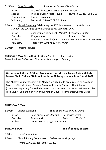11.30am Sung Eucharist *Sung by the Boys and Lay Clerks* Introit This joyful Eastertide *Traditional arr Wood* Setting The Little Organ Mass *Haydn* Hymns 612, 211, 204, 218 Communion Tantum ergo *Fauré* Voluntary Fantasia in G BWV 572 *J. S. Bach* 

3.30pm Choral Evensong Celebrating the 25<sup>th</sup> Anniversary of the Girls choir *Sung by the Girls and Lay Clerks and Wells Cathedral Choir*

| Introit          | Since by man came death Handel Responses Tomkins |       |                                  |
|------------------|--------------------------------------------------|-------|----------------------------------|
| <b>Canticles</b> | <i>Stanford</i> in A                             | Psalm | 86                               |
| Anthem           | Give unto the Lord Elgar                         |       | Hymns 163 (AM 589), 472 (AM 663) |
| Voluntary        | Finale from Symphony No 6 Widor                  |       |                                  |

6.30pm Informal service

**TUESDAY 3 MAY Organ Recital** 1.00pm Stephen Disley, *London* Music by *Bach*, *Dubois* and Chaconne *Couperin (Arr. Bonnet)*

**Wednesday 4 May at 6.30pm. An evening concert given by our Abbey Melody Makers Choir. Tickets £10 from Eventbrite. Tickets go on sale from 1 April 2022**

The Abbey's youngest choir with 40 children aged 6-11 are directed by Assistant Director of Music Shean Bowers. Music will include Music of The Spheres (composed especially for Melody Makers) by Jools Scott and Sue Curtis + music by Nico Muhly, Benjamin Britten and Jonathan Dove. Accompanist George Bevan.

#### **THURSDAY 5 MAY**

| 5.30pm  | <b>Choral Evensong</b> |                                  |                 | Sung by the Girls and Lay Clerks |
|---------|------------------------|----------------------------------|-----------------|----------------------------------|
| Introit |                        | Beati quorum via Stanford        | Responses Smith |                                  |
|         | Canticles              | Purcell in G                     | Psalm           | 73 v1-12                         |
|         | Anthem                 | Let justice and judgement Handel |                 |                                  |

### **SUNDAY 8 MAY The 4th Sunday of Easter**

- 8.00am Holy Communion
- 9.30am Church Family Communion *Led by the music group* Hymns 227, 211, 215, 603, 409, 232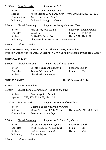## 11.30am Sung Eucharist *Sung by the Girls*

| Introit   | Lift thine eyes Mendelssohn                               |
|-----------|-----------------------------------------------------------|
| Setting   | Missa Mariae Cecilia McDowall Hymns 194, NEH282, 453, 221 |
| Communion | Ave verum corpus Fauré                                    |
| Voluntary | Carillon du Longpont Vierne                               |

3.30pm Choral Evensong *Sung by the Abbey Chamber Choir*

| Introit          | Rise up, my love Willan                 |                   | <b>Responses Shean Bowers</b> |
|------------------|-----------------------------------------|-------------------|-------------------------------|
| <b>Canticles</b> | Wood in F                               | Psalm             | 113, 114                      |
| Anthem           | <b>Festival Te Deum Britten</b>         | Hymn 501 (AM 212) |                               |
| Voluntary        | Allegretto from Sonata No 4 Mendelssohn |                   |                               |

6.30pm Informal service

**TUESDAY 10 MAY Organ Recital** 1.00pm Shean Bowers, *Bath Abbey* Music by *Gigout*, Nimrod *Elgar*, Chaconne in D min *Bach*, Finale from Symph No 6 *Widor*

### **THURSDAY 12 MAY**

| 5.30pm    |        | Choral Evensong     | Sung by the Girls and Lay Clerks |                 |  |
|-----------|--------|---------------------|----------------------------------|-----------------|--|
| Introit   |        |                     | Christo Resurgenti Couperin      | Responses Smith |  |
| Canticles |        | Annabel Rooney in D | Psalm                            | 85              |  |
|           | Anthem |                     | Abendlied Rheinberger            |                 |  |

**SUNDAY 15 MAY The 5th Sunday of Easter**

8.00am Holy Communion

9.30am Church Family Communion *Sung by the Boys* 

Anthem Panis Angelicus *Franck* Hymns 753, 805, 221, 472, 198, 422

11.30am Sung Eucharist *Sung by the Boys and Lay Clerks*

| Introit   | O taste and see Vaughan Williams |                            |
|-----------|----------------------------------|----------------------------|
| Setting   | Missa Brevis in F K 192 Mozart   | Hymns 422, 217, 200ii, 507 |
| Communion | Ave verum corpus <i>Elgar</i>    |                            |

3.30pm Choral Evensong *Sung by the Girls and Lay Clerks*

| Introit   | Christo Resurgenti Couperin   | Responses Smith |     |
|-----------|-------------------------------|-----------------|-----|
| Canticles | The St Paul's Service Howells | Psalm           | 98  |
| Anthem    | Joy! Roxanna Panufnik         | Hymn            | 235 |
| Voluntary | Toccata Ropek                 |                 |     |

6.30pm Informal service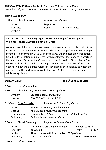**TUESDAY 17 MAY Organ Recital** 1.00pm Huw Williams, *Bath Abbey* Music by *Wills,* Final from Symphonie No 8 *Widor*, Sonata No 4 by *Mendelssohn*

#### **THURSDAY 19 MAY**

| 5.30pm  | Choral Evensong |           | Sung by Cappella Nova |  |  |
|---------|-----------------|-----------|-----------------------|--|--|
| Introit |                 | Responses |                       |  |  |
|         | Canticles       | Psalm     | $104 (v24 - end)$     |  |  |
|         | Anthem          |           |                       |  |  |

### **SATURDAY 21 MAY Evening Organ Concert 6.30pm performed by Huw Williams. Tickets £7.50 from Bath Box Office**

As we approach the season of Ascension the programme will feature Messiaen's majestic 4 movement suite, written in 1933. Edward Elgar's monumental Organ sonata first performed in 1895 will also feature. Other pieces draw inspiration from the Royal Platinum Jubilee Year with royal favourite, Handel's Concerto in B flat major, and Master of the Queen's music, Judith Weir's, Ettrick Banks. The concert will last about an hour and a quarter with interval drinks offering the chance to meet the organist. A large screen enables the audience to watch the player during the performance controlling over 4,500 pipes, on 4 keyboards whilst using his feet!

### **SUNDAY 22 MAY The 6th Sunday of Easter**

8.00am Holy Communion

| 9.30am                          |                       | Church Family Communion Sung by the Girls                                                                                           |                                  |
|---------------------------------|-----------------------|-------------------------------------------------------------------------------------------------------------------------------------|----------------------------------|
| Anthem<br><b>Hymns</b>          |                       | Laudate pueri Mendelssohn<br>394, 193, 608, 671, 214, 219                                                                           |                                  |
| 11.30am                         | <b>Sung Eucharist</b> |                                                                                                                                     | Sung by the Girls and Lay Clerks |
| Introit<br>Setting<br>Voluntary | Communion             | Priidite, poklonimsya Rachmaninov<br>Keble Missa Brevis Philip Stopford<br>Ecce vicit Leo Philips<br>Carillon de Westminster Vierne | Hymns 710, 236, 748, 218         |

3.30pm Choral Evensong *Sung by the Boys and Lay Clerks*

| Introit   | I got me flowers Vaughan Williams            | Responses Rose    |          |
|-----------|----------------------------------------------|-------------------|----------|
| Canticles | Murrill in E                                 | Psalm             | 126, 127 |
| Anthem    | All wisdom cometh from the Lord Philip Moore |                   |          |
| Voluntary | Tanz Toccata Heiller                         | Hymn 199 (AM 676) |          |

6.30pm Informal Service